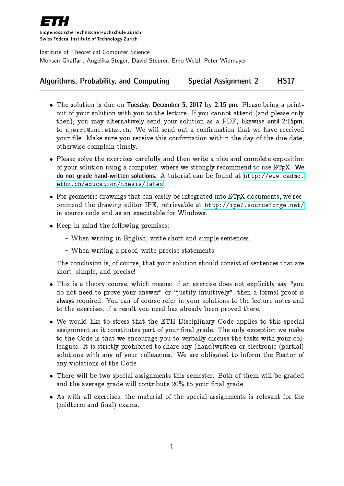

Eidgenössische Technische Hochschule Zürich Swiss Federal Institute of Technology Zurich

Institute of Theoretical Computer Science Mohsen Ghaffari, Angelika Steger, David Steurer, Emo Welzl, Peter Widmayer

## Algorithms, Probability, and Computing Special Assignment 2 HS17

- The solution is due on Tuesday, December 5, 2017 by 2:15 pm. Please bring a printout of your solution with you to the lecture. If you cannot attend (and please only then), you may alternatively send your solution as a PDF, likewise until 2:15pm, to njerri@inf.ethz.ch. We will send out a confirmation that we have received your file. Make sure you receive this confirmation within the day of the due date, otherwise complain timely.
- Please solve the exercises carefully and then write a nice and complete exposition of your solution using a computer, where we strongly recommend to use  $L^4T_RX$ . We do not grade hand-written solutions. A tutorial can be found at [http://www.cadmo.](http://www.cadmo.ethz.ch/education/thesis/latex) [ethz.ch/education/thesis/latex](http://www.cadmo.ethz.ch/education/thesis/latex).
- For geometric drawings that can easily be integrated into L<sup>A</sup>T<sub>E</sub>X documents, we recommend the drawing editor IPE, retrievable at <http://ipe7.sourceforge.net/> in source code and as an executable for Windows.
- Keep in mind the following premises:
	- When writing in English, write short and simple sentences.
	- When writing a proof, write precise statements.

The conclusion is, of course, that your solution should consist of sentences that are short, simple, and precise!

- This is a theory course, which means: if an exercise does not explicitly say "you do not need to prove your answer" or "justify intuitively", then a formal proof is always required. You can of course refer in your solutions to the lecture notes and to the exercises, if a result you need has already been proved there.
- We would like to stress that the ETH Disciplinary Code applies to this special assignment as it constitutes part of your final grade. The only exception we make to the Code is that we encourage you to verbally discuss the tasks with your colleagues. It is strictly prohibited to share any (hand)written or electronic (partial) solutions with any of your colleagues. We are obligated to inform the Rector of any violations of the Code.
- There will be two special assignments this semester. Both of them will be graded and the average grade will contribute  $20\%$  to your final grade.
- As with all exercises, the material of the special assignments is relevant for the (midterm and final) exams.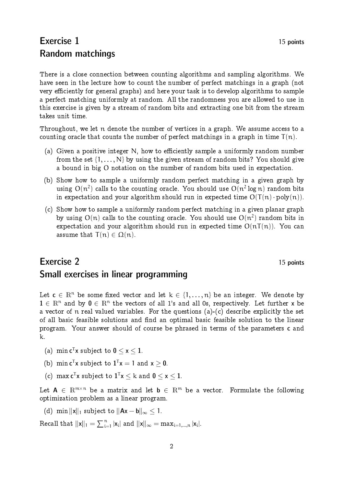## Exercise 1 15 points Random matchings

There is a close connection between counting algorithms and sampling algorithms. We have seen in the lecture how to count the number of perfect matchings in a graph (not very efficiently for general graphs) and here your task is to develop algorithms to sample a perfect matching uniformly at random. All the randomness you are allowed to use in this exercise is given by a stream of random bits and extracting one bit from the stream takes unit time.

Throughout, we let n denote the number of vertices in a graph. We assume access to a counting oracle that counts the number of perfect matchings in a graph in time  $T(n)$ .

- (a) Given a positive integer  $N$ , how to efficiently sample a uniformly random number from the set  $\{1, \ldots, N\}$  by using the given stream of random bits? You should give a bound in big O notation on the number of random bits used in expectation.
- (b) Show how to sample a uniformly random perfect matching in a given graph by using  $O(n^2)$  calls to the counting oracle. You should use  $O(n^2 \log n)$  random bits in expectation and your algorithm should run in expected time  $O(T(n) \cdot poly(n))$ .
- (c) Show how to sample a uniformly random perfect matching in a given planar graph by using  $O(n)$  calls to the counting oracle. You should use  $O(n^2)$  random bits in expectation and your algorithm should run in expected time  $O(nT(n))$ . You can assume that  $T(n) \in \Omega(n)$ .

## Exercise 2 15 points Small exercises in linear programming

Let  $c \in \mathbb{R}^n$  be some fixed vector and let  $k \in \{1, \ldots, n\}$  be an integer. We denote by  $1 \in \mathbb{R}^n$  and by  $0 \in \mathbb{R}^n$  the vectors of all 1's and all 0s, respectively. Let further x be a vector of n real valued variables. For the questions (a)-(c) describe explicitly the set of all basic feasible solutions and find an optimal basic feasible solution to the linear program. Your answer should of course be phrased in terms of the parameters c and k.

- (a)  $\min \mathbf{c}^\mathsf{T} \mathbf{x}$  subject to  $\mathbf{0} \leq \mathbf{x} \leq \mathbf{1}.$
- (b)  $\min c^T x$  subject to  $\mathbf{1}^T x = 1$  and  $x \geq 0$ .
- (c)  $\max c^T x$  subject to  $1^T x \le k$  and  $0 \le x \le 1$ .

Let  $A \in \mathbb{R}^{m \times n}$  be a matrix and let  $b \in \mathbb{R}^m$  be a vector. Formulate the following optimization problem as a linear program.

(d) min  $\|x\|_1$  subject to  $\|Ax - b\|_{\infty} \leq 1$ .

Recall that  $||\mathbf{x}||_1 = \sum_{i=1}^n |\mathbf{x}_i|$  and  $||\mathbf{x}||_{\infty} = \max_{i=1,\dots,n} |\mathbf{x}_i|$ .